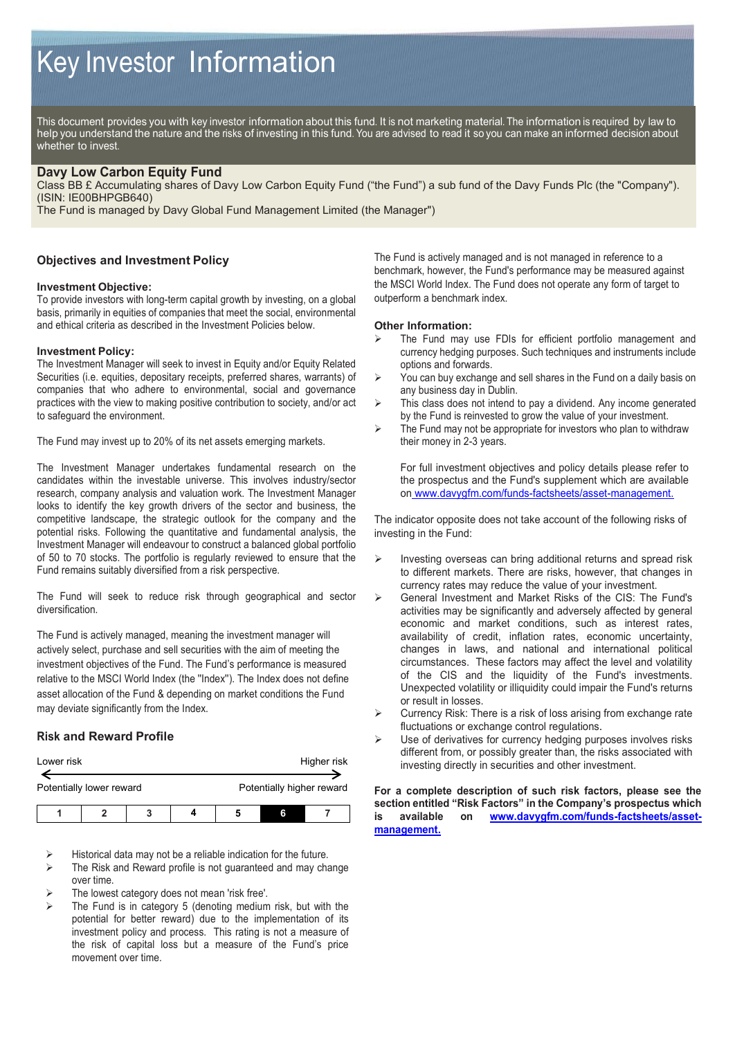# Key Investor Information

This document provides you with key investor information about this fund. It is not marketing material. The information is required by law to help you understand the nature and the risks of investing in this fund. You are advised to read it so you can make an informed decision about whether to invest.

## **Davy Low Carbon Equity Fund**

Class BB £ Accumulating shares of Davy Low Carbon Equity Fund ("the Fund") a sub fund of the Davy Funds Plc (the "Company"). (ISIN: IE00BHPGB640)

The Fund is managed by Davy Global Fund Management Limited (the Manager")

## **Objectives and Investment Policy**

### **Investment Objective:**

To provide investors with long-term capital growth by investing, on a global basis, primarily in equities of companies that meet the social, environmental and ethical criteria as described in the Investment Policies below.

### **Investment Policy:**

The Investment Manager will seek to invest in Equity and/or Equity Related Securities (i.e. equities, depositary receipts, preferred shares, warrants) of companies that who adhere to environmental, social and governance practices with the view to making positive contribution to society, and/or act to safeguard the environment.

The Fund may invest up to 20% of its net assets emerging markets.

The Investment Manager undertakes fundamental research on the candidates within the investable universe. This involves industry/sector research, company analysis and valuation work. The Investment Manager looks to identify the key growth drivers of the sector and business, the competitive landscape, the strategic outlook for the company and the potential risks. Following the quantitative and fundamental analysis, the Investment Manager will endeavour to construct a balanced global portfolio of 50 to 70 stocks. The portfolio is regularly reviewed to ensure that the Fund remains suitably diversified from a risk perspective.

The Fund will seek to reduce risk through geographical and sector diversification.

The Fund is actively managed, meaning the investment manager will actively select, purchase and sell securities with the aim of meeting the investment objectives of the Fund. The Fund's performance is measured relative to the MSCI World Index (the ''Index''). The Index does not define asset allocation of the Fund & depending on market conditions the Fund may deviate significantly from the Index.

## **Risk and Reward Profile**

| Lower risk               |  |   |  |                           |   | Higher risk |
|--------------------------|--|---|--|---------------------------|---|-------------|
| Potentially lower reward |  |   |  | Potentially higher reward |   |             |
|                          |  | 2 |  |                           | 6 |             |

- Historical data may not be a reliable indication for the future.
- The Risk and Reward profile is not guaranteed and may change over time.
- The lowest category does not mean 'risk free'.
- The Fund is in category 5 (denoting medium risk, but with the potential for better reward) due to the implementation of its investment policy and process. This rating is not a measure of the risk of capital loss but a measure of the Fund's price movement over time.

The Fund is actively managed and is not managed in reference to a benchmark, however, the Fund's performance may be measured against the MSCI World Index. The Fund does not operate any form of target to outperform a benchmark index.

#### **Other Information:**

- The Fund may use FDIs for efficient portfolio management and currency hedging purposes. Such techniques and instruments include options and forwards.
- $\triangleright$  You can buy exchange and sell shares in the Fund on a daily basis on any business day in Dublin.
- $\triangleright$  This class does not intend to pay a dividend. Any income generated by the Fund is reinvested to grow the value of your investment.
- $\triangleright$  The Fund may not be appropriate for investors who plan to withdraw their money in 2-3 years.

For full investment objectives and policy details please refer to the prospectus and the Fund's supplement which are available on www.davygfm.com/funds-factsheets/asset-management.

The indicator opposite does not take account of the following risks of investing in the Fund:

- Investing overseas can bring additional returns and spread risk to different markets. There are risks, however, that changes in currency rates may reduce the value of your investment.
- General Investment and Market Risks of the CIS: The Fund's activities may be significantly and adversely affected by general economic and market conditions, such as interest rates, availability of credit, inflation rates, economic uncertainty, changes in laws, and national and international political circumstances. These factors may affect the level and volatility of the CIS and the liquidity of the Fund's investments. Unexpected volatility or illiquidity could impair the Fund's returns or result in losses.
- Currency Risk: There is a risk of loss arising from exchange rate fluctuations or exchange control regulations.
- Use of derivatives for currency hedging purposes involves risks different from, or possibly greater than, the risks associated with investing directly in securities and other investment.

**For a complete description of such risk factors, please see the section entitled "Risk Factors" in the Company's prospectus which is available on [www.davygfm.com/funds-factsheets/asset](http://www.davygfm.com/funds-factsheets/asset-management.)[management.](http://www.davygfm.com/funds-factsheets/asset-management.)**